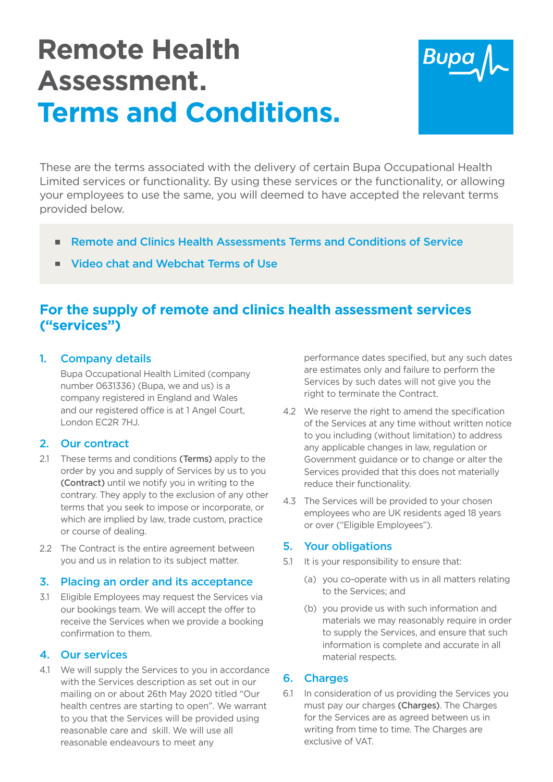# **Remote Health Assessment. Terms and Conditions.**



 These are the terms associated with the delivery of certain Bupa Occupational Health Limited services or functionality. By using these services or the functionality, or allowing<br>your employees to use the same, you will deemed to have accepted the relevant terms<br>provided below. your employees to use the same, you will deemed to have accepted the relevant terms

- Remote and Clinics Health Assessments Terms and Conditions of Service<br>Video chat and Webchat Terms of Use ■
- Video chat and Webchat Terms of Use ■

## **For the supply of remote and clinics health assessment services ("services")**

### 1. Company details

Bupa Occupational Health Limited (company number 0631336) (Bupa, we and us) is a Bupa Occupational Health Limited (company<br>number 0631336) (Bupa, we and us) is a<br>company registered in England and Wales and our registered office is at 1 Angel Court,<br>London EC2R 7HJ. London EC2R 7HJ.

#### 2. Our contract

- These terms and conditions (Terms) apply to the 2.1 These terms and conditions (Terms) apply to the order by you and supply of Services by us to you (Contract) until we notify you in writing to the (Contract) until we notify you in writing to the<br>contrary. They apply to the exclusion of any other terms that you seek to impose or incorporate, or which are implied by law, trade custom, practice or course of dealing. which are implied by law, trade custom, practice<br>or course of dealing.<br>2.2 The Contract is the entire agreement between
- you and us in relation to its subject matter.

#### 3. Placing an order and its acceptance

3.1 Fligible Employees may request the Services via 3.1 Eligible Employees may request the Services via our bookings team. We will accept the offer to receive the Services when we provide a booking confrmation to them. confirmation to them.

#### 4. Our services

4.1 We will supply the Services to you in accordance with the Services description as set out in our mailing on or about 26th May 2020 titled "Our with the Services description as set out in our<br>mailing on or about 26th May 2020 titled "Our<br>health centres are starting to open". We warrant to you that the Services will be provided using reasonable care and skill. We will use all reasonable endeavours to meet any reasonable endeavours to meet any

performance dates specified, but any such dates are estimates only and failure to perform the performance dates specified, but any such dates<br>are estimates only and failure to perform the<br>Services by such dates will not give you the right to terminate the Contract.

- 4.2 We reserve the right to amend the specification of the Services at any time without written notice you including (without limitation) to address any applicable changes in law, regulation or Government guidance or to change or alter the Services provided that this does not materially reduce their functionality. reduce their functionality. of the Services at any time without written notice to you including (without limitation) to address any applicable changes in law, regulation or
- 4.3 The Services will be provided to your chosen employees who are UK residents aged 18 years<br>or over ("Eligible Employees"). or over ("Eligible Employees").

#### 5. Your obligations

- 5.1 It is your responsibility to ensure that:
- (a) you co-operate with us in all matters relating to the Services; and
	- (b) you provide us with such information and we may reasonably require in order to supply the Services, and ensure that such information is complete and accurate in all (b) you provide us with such information and<br>materials we may reasonably require in order<br>to supply the Services, and ensure that such<br>information is complete and accurate in all material respects.

### 6. Charges

6.1 In consideration of us providing the Services you must pay our charges (Charges). The Charges for the Services are as agreed between us in from time to time. The Charges are exclusive of VAT. for the Services are as agreed between us in<br>writing from time to time. The Charges are<br>exclusive of VAT.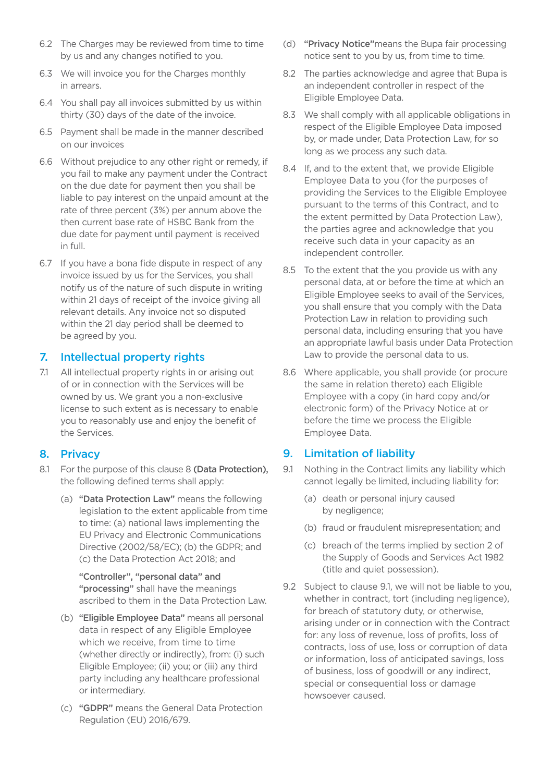- 6.2 The Charges may be reviewed from time to time (d) **"Privacy Notice"**means the Bupa fair processing<br>by us and any changes notified to you. (by us from time to time. by us and any changes notified to you.
- 6.3 We will invoice you for the Charges monthly in arrears.
- 6.4 You shall pay all invoices submitted by us within thirty (30) days of the date of the invoice. thirty (30) days of the date of the invoice.
- 6.5 Payment shall be made in the manner described on our invoices on our invoices
- 6.6 Without prejudice to any other right or remedy, if you fail to make any payment under the Contract on the due date for payment then you shall be on the due date for payment then you shall be<br>liable to pay interest on the unpaid amount at the rate of three percent (3%) per annum above the rate of three percent (3%) per annum above the<br>then current base rate of HSBC Bank from the due date for payment until payment is received in full.
- 6.7 If you have a bona fide dispute in respect of any invoice issued by us for the Services, you shall notify us of the nature of such dispute in writing within 21 days of receipt of the invoice giving all details. Any invoice not so disputed within the 21 day period shall be deemed to be agreed by you. within 21 days of receipt of the invoice giving all<br>relevant details. Any invoice not so disputed<br>within the 21 day period shall be deemed to

#### 7. Intellectual property rights

7.1 All intellectual property rights in or arising out of or in connection with the Services will be owned by us. We grant you a non-exclusive license to such extent as is necessary to enable license to such extent as is necessary to enable you to reasonably use and enjoy the beneft of the Services.

- 8.1 For the purpose of this clause 8 (Data Protection), the following defned terms shall apply:
- (a) "Data Protection Law" means the following legislation to the extent applicable from time to time: (a) national laws implementing the EU Privacy and Electronic Communications Directive (2002/58/EC); (b) the GDPR; and (c) the Data Protection Act 2018; and

"Controller", "personal data" and "processing" shall have the meanings **"Controller", "personal data" and<br>"processing"** shall have the meanings<br>ascribed to them in the Data Protection Law.

- (b) **"Eligible Employee Data"** means all personal<br>data in respect of any Eligible Employee<br>which we receive, from time to time data in respect of any Eligible Employee which we receive, from time to time (whether directly or indirectly), from: (i) such Eligible Employee; (ii) you; or (iii) any third party including any healthcare professional or intermediary.
- (c) **"GDPR"** means the General Data Protection<br>Regulation (EU) 2016/679. Regulation (EU) 2016/679.
- (d) "Privacy Notice" means the Bupa fair processing notice sent to you by us, from time to time.
- 8.2 The parties acknowledge and agree that Bupa is an independent controller in respect of the Eligible Employee Data.
- 8.3 We shall comply with all applicable obligations in respect of the Eligible Employee Data imposed by, or made under, Data Protection Law, for so<br>long as we process any such data. long as we process any such data.
- 8.4 If, and to the extent that, we provide Eligible If, and to the extent that, we provide Eligible Employee Data to you (for the purposes of providing the Services to the Eligible Employee providing the Services to the Eligible Employee pursuant to the terms of this Contract, and to the extent permitted by Data Protection Law). the extent permitted by Data Protection Law), the parties agree and acknowledge that you receive such data in your capacity as an independent controller.
- 8.5 To the extent that the you provide us with any data, at or before the time at which an Eligible Employee seeks to avail of the Services, you shall ensure that you comply with the Data Protection Law in relation to providing such personal data, including ensuring that you have personal data, including ensuring that you have<br>an appropriate lawful basis under Data Protection Law to provide the personal data to us. To the extent that the you provide us with any personal data, at or before the time at which an Eligible Employee seeks to avail of the Services, you shall ensure that you comply with the Data
- 8.6 Where applicable, you shall provide (or procure<br>the same in relation thereto) each Eligible<br>Employee with a copy (in hard copy and/or<br>electronic form) of the Privacy Notice at or<br>before the time we process the Eligible the same in relation thereto) each Eligible Employee with a copy (in hard copy and/or electronic form) of the Privacy Notice at or before the time we process the Eligible

#### 8. Privacy **8. Install Privacy 9. Limitation of liability**

- 9.1 Nothing in the Contract limits any liability which cannot legally be limited, including liability for:
- (a) death or personal injury caused by negligence;
- (b) fraud or fraudulent misrepresentation; and
- (c) breach of the terms implied by section 2 of the Supply of Goods and Services Act 1982 the Supply of Goods and Services Act 1982 (title and quiet possession).
- 9.2 Subject to clause 9.1, we will not be liable to you, Subject to clause 9.1, we will not be liable to you, whether in contract, tort (including negligence), for breach of statutory duty, or otherwise, arising under or in connection with the Contract for: any loss of revenue, loss of profits, loss of contracts, loss of use, loss or corruption of data or information, loss of anticipated savings, loss or information, loss of anticipated savings, loss of business, loss of goodwill or any indirect, special or consequential loss or damage howsoever caused.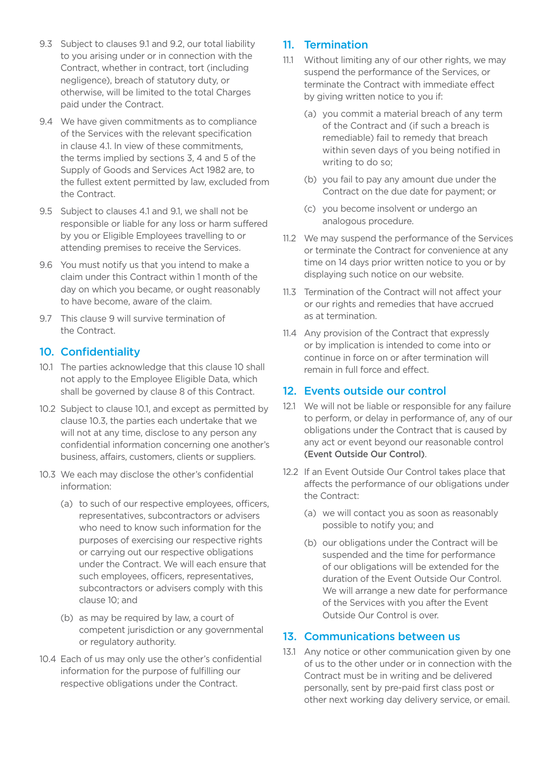- 9.3 Subject to clauses 9.1 and 9.2, our total liability you arising under or in connection with the Contract, whether in contract, tort (including negligence), breach of statutory duty, or otherwise, will be limited to the total Charges paid under the Contract. 9.3 Subject to clauses 9.1 and 9.2, our total liability to you arising under or in connection with the Contract, whether in contract, tort (including negligence), breach of statutory duty, or
- 9.4 We have given commitments as to compliance of the Services with the relevant specification in clause 4.1. In view of these commitments, the terms implied by sections 3, 4 and 5 of the Supply of Goods and Services Act 1982 are, to Supply of Goods and Services Act 1982 are, to<br>the fullest extent permitted by law, excluded from the Contract.
- 9.5 Subject to clauses 4.1 and 9.1, we shall not be responsible or liable for any loss or harm suffered by you or Eligible Employees travelling to or by you or Eligible Employees travelling to or<br>attending premises to receive the Services.
- 9.6 You must notify us that you intend to make a claim under this Contract within 1 month of the day on which you became, or ought reasonably to have become, aware of the claim.
- 9.7 This clause 9 will survive termination of the Contract.

#### 10. Confidentiality

- 10.1 The parties acknowledge that this clause 10 shall not apply to the Employee Eligible Data, which shall be governed by clause 8 of this Contract.
- 10.2 Subject to clause 10.1, and except as permitted by clause 10.3, the parties each undertake that we will not at any time, disclose to any person any clause 10.3, the parties each undertake that we<br>will not at any time, disclose to any person any<br>confidential information concerning one another's business, affairs, customers, clients or suppliers.
- 10.3 We each may disclose the other's confidential information:
- (a) to such of our respective employees, officers, representatives, subcontractors or advisers (a) to such of our respective employees, officers,<br>representatives, subcontractors or advisers<br>who need to know such information for the purposes of exercising our respective rights or carrying out our respective obligations or carrying out our respective obligations under the Contract. We will each ensure that under the Contract. We will each ensure that<br>such employees, officers, representatives, subcontractors or advisers comply with this clause 10; and Subject to clauses 9.1 and 2, our total lability 11. Termination contract, whether in contract, when the purpose of the purpose of the purpose of the purpose of the purpose of the purpose of the contract. We have given com
	- (b) as may be required by law, a court of (b) as may be required by law, a court of<br>competent jurisdiction or any governmental or regulatory authority.
- 10.4 Each of us may only use the other's confidential information for the purpose of fulfilling our respective obligations under the Contract.

- 11.1 Without limiting any of our other rights, we may suspend the performance of the Services, or terminate the Contract with immediate effect by giving written notice to you if: suspend the performance of the Services, or terminate the Contract with immediate effect by giving written notice to you if:
- (a) you commit a material breach of any term of the Contract and (if such a breach is of the Contract and (if such a breach is remediable) fail to remedy that breach within seven days of you being notified in<br>writing to do so; writing to do so:
- (b) you fail to pay any amount due under the Contract on the due date for payment; or
- (c) you become insolvent or undergo an analogous procedure.
- 11.2 We may suspend the performance of the Services or terminate the Contract for convenience at any or terminate the Contract for convenience at any time on 14 days prior written notice to you or by displaying such notice on our website.
- 11.3 Termination of the Contract will not affect your our rights and remedies that have accrued as at termination. 11.3 Termination of the Contract will not affect your or our rights and remedies that have accrued as at termination.
- 11.4 Any provision of the Contract that expressly 11.4 Any provision of the Contract that expressly or by implication is intended to come into or continue in force on or after termination will remain in full force and effect.

#### 12. Events outside our control

- 12.1 We will not be liable or responsible for any failure to perform, or delay in performance of, any of our under the Contract that is caused by any act or event beyond our reasonable control (Event Outside Our Control). to perform, or delay in performance of, any of our<br>obligations under the Contract that is caused by<br>any act or event beyond our reasonable control
- 12.2 If an Event Outside Our Control takes place that affects the performance of our obligations under the Contract:
- (a) we will contact you as soon as reasonably possible to notify you; and
	- (b) our obligations under the Contract will be (b) our obligations under the Contract will be suspended and the time for performance of our obligations will be extended for the duration of the Event Outside Our Control. duration of the Event Outside Our Control. We will arrange a new date for performance of the Services with you after the Event<br>Outside Our Control is over. Outside Our Control is over.

#### 13. Communications between us

13.1 Any notice or other communication given by one of us to the other under or in connection with the of us to the other under or in connection with the Contract must be in writing and be delivered Contract must be in writing and be delivered<br>personally, sent by pre-paid first class post or other next working day delivery service, or email.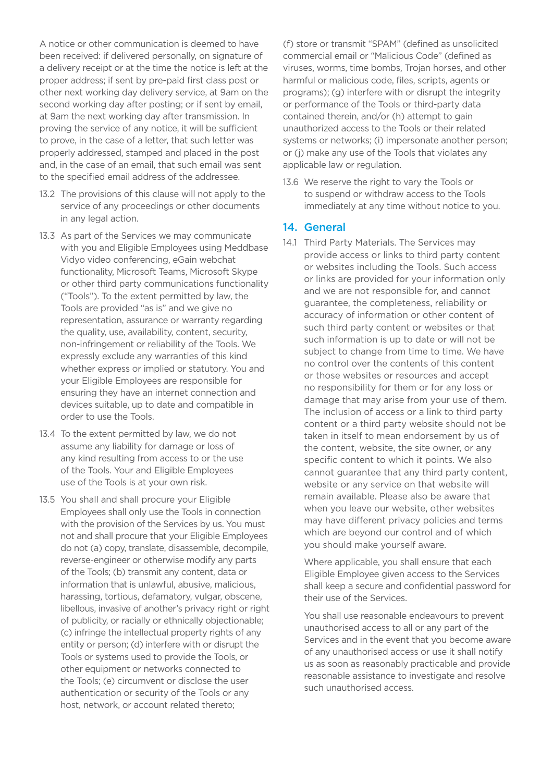A notice or other communication is deemed to have been received: if delivered personally, on signature of a delivery receipt or at the time the notice is left at the proper address; if sent by pre-paid first class post or next working day delivery service, at 9am on the second working day after posting; or if sent by email, at 9am the next working day after transmission. In at 9am the next working day after transmission. In<br>proving the service of any notice, it will be sufficient to prove, in the case of a letter, that such letter was properly addressed, stamped and placed in the post properly addressed, stamped and placed in the post<br>and, in the case of an email, that such email was sent to the specifed email address of the addressee. A notice or other communication is deemed to have<br>been received: if delivered personally, on signature of<br>a delivery receipt or at the time the notice is left at the<br>proper address; if sent by pre-paid first class post or<br>

- 13.2 The provisions of this clause will not apply to the service of any proceedings or other documents service of any proceedings or other documents in any legal action.
- 13.3 As part of the Services we may communicate with you and Eligible Employees using Meddbase Vidyo video conferencing, eGain webchat with you and Eligible Employees using Meddbase<br>Vidyo video conferencing, eGain webchat<br>functionality, Microsoft Teams, Microsoft Skype or other third party communications functionality ("Tools"). To the extent permitted by law, the ("Tools"). To the extent permitted by law, the Tools are provided "as is" and we give no representation, assurance or warranty regarding representation, assurance or warranty regarding<br>the quality, use, availability, content, security, non-infringement or reliability of the Tools. We expressly exclude any warranties of this kind whether express or implied or statutory. You and your Eligible Employees are responsible for ensuring they have an internet connection and devices suitable, up to date and compatible in<br>order to use the Tools. order to use the Tools.
- 13.4 To the extent permitted by law, we do not assume any liability for damage or loss of any kind resulting from access to or the use of the Tools. Your and Eligible Employees use of the Tools is at your own risk.
- 13.5 You shall and shall procure your Eligible Employees shall only use the Tools in connection with the provision of the Services by us. You must not and shall procure that your Eligible Employees do not (a) copy, translate, disassemble, decompile, reverse-engineer or otherwise modify any parts of the Tools; (b) transmit any content, data or information that is unlawful, abusive, malicious, harassing, tortious, defamatory, vulgar, obscene, libellous, invasive of another's privacy right or right of publicity, or racially or ethnically objectionable; (c) infringe the intellectual property rights of any entity or person; (d) interfere with or disrupt the Tools or systems used to provide the Tools, or Tools or systems used to provide the Tools, or other equipment or networks connected to the Tools; (e) circumvent or disclose the user authentication or security of the Tools or any host, network, or account related thereto;

(f) store or transmit "SPAM" (defined as unsolicited commercial email or "Malicious Code" (defned as viruses, worms, time bombs, Trojan horses, and other harmful or malicious code, fles, scripts, agents or harmful or malicious code, files, scripts, agents or programs); (g) interfere with or disrupt the integrity or performance of the Tools or third-party data contained therein, and/or (h) attempt to gain unauthorized access to the Tools or their related systems or networks; (i) impersonate another person; programs); (g) interfere with or disrupt the integrity<br>or performance of the Tools or third-party data<br>contained therein, and/or (h) attempt to gain<br>unauthorized access to the Tools or their related<br>systems or networks; (i applicable law or regulation.

13.6 We reserve the right to vary the Tools or to suspend or withdraw access to the Tools 13.6 We reserve the right to vary the Tools or<br>to suspend or withdraw access to the Tools<br>immediately at any time without notice to you.

#### 14. General

14.1 Third Party Materials. The Services may provide access or links to third party content or websites including the Tools. Such access or links are provided for your information only and we are not responsible for, and cannot guarantee, the completeness, reliability or accuracy of information or other content of such third party content or websites or that such information is up to date or will not be subject to change from time to time. We have accuracy of information or other content of such third party content or websites or that such information is up to date or will not be subject to change from time to time. We have no control over the contents of this content or those websites or resources and accept no responsibility for them or for any loss or that may arise from your use of them. The inclusion of access or a link to third party content or a third party website should not be content or a third party website should not be<br>taken in itself to mean endorsement by us of the content, website, the site owner, or any specific content to which it points. We also specific content to which it points. We also<br>cannot guarantee that any third party content, website or any service on that website will remain available. Please also be aware that when you leave our website, other websites have different privacy policies and terms which are beyond our control and of which you should make yourself aware. lies are other internal internal internal internal internal internal internal internal internal internal internal internal internal internal internal internal internal internal internal internal internal internal internal no responsibility for them or for any loss or<br>damage that may arise from your use of them.<br>The inclusion of access or a link to third party website or any service on that website will remain available. Please also be aware that when you leave our website, other websites may have different privacy policies and terms which are beyond our control and of which

 Where applicable, you shall ensure that each Eligible Employee given access to the Services shall keep a secure and confidential password for<br>their use of the Services. their use of the Services.

You shall use reasonable endeavours to prevent You shall use reasonable endeavours to prevent unauthorised access to all or any part of the Services and in the event that you become aware of any unauthorised access or use it shall notify us as soon as reasonably practicable and provide us as soon as reasonably practicable and provide reasonable assistance to investigate and resolve such unauthorised access.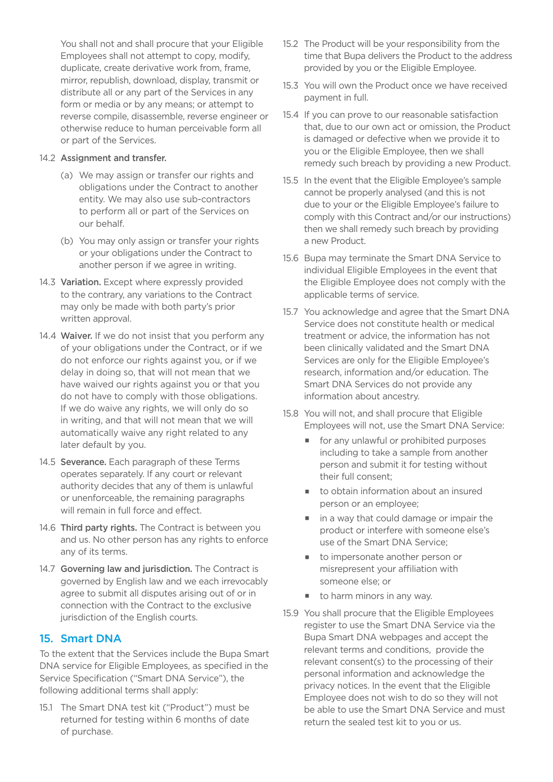You shall not and shall procure that your Eligible Employees shall not attempt to copy, modify, duplicate, create derivative work from, frame. mirror, republish, download, display, transmit or all or any part of the Services in any form or media or by any means; or attempt to reverse compile, disassemble, reverse engineer or reverse compile, disassemble, reverse engineer or<br>otherwise reduce to human perceivable form all or part of the Services. duplicate, create derivative work from, frame, mirror, republish, download, display, transmit or distribute all or any part of the Services in any form or media or by any means; or attempt to

#### 14.2 Assignment and transfer.

- (a) We may assign or transfer our rights and obligations under the Contract to another obligations under the Contract to another<br>entity. We may also use sub-contractors to perform all or part of the Services on our behalf.
- (b) You may only assign or transfer your rights or your obligations under the Contract to another person if we agree in writing. or your obligations under the Contract to another person if we agree in writing.
- 14.3 Variation. Except where expressly provided 14.3 **Variation.** Except where expressly provided to the contrary, any variations to the Contract may only be made with both party's prior written approval.
- 14.4 Waiver. If we do not insist that you perform any 14.4 **Waiver.** If we do not insist that you perform any of your obligations under the Contract, or if we do not enforce our rights against you, or if we delay in doing so, that will not mean that we have waived our rights against you or that you have waived our rights against you or that you do not have to comply with those obligations. If we do waive any rights, we will only do so in writing, and that will not mean that we will automatically waive any right related to any later default by you.
- 14.5 Severance. Each paragraph of these Terms operates separately. If any court or relevant operates separately. If any court or relevant authority decides that any of them is unlawful or unenforceable, the remaining paragraphs will remain in full force and effect.
- 14.6 Third party rights. The Contract is between you us. No other person has any rights to enforce any of its terms. 14.6 **Third party rights.** The Contract is between you and us. No other person has any rights to enforce any of its terms.
- 14.7 Governing law and jurisdiction. The Contract is governed by English law and we each irrevocably agree to submit all disputes arising out of or in with the Contract to the exclusive jurisdiction of the English courts. agree to submit all disputes arising out of or in<br>connection with the Contract to the exclusive<br>jurisdiction of the English courts.

#### 15. Smart DNA

To the extent that the Services include the Bupa Smart service for Eligible Employees, as specified in the Service Specification ("Smart DNA Service"), the following additional terms shall apply: To the extent that the Services include the Bupa Smart<br>DNA service for Eligible Employees, as specified in the<br>Service Specification ("Smart DNA Service"), the

15.1 The Smart DNA test kit ("Product") must be 15.1 The Smart DNA test kit ("Product") must be returned for testing within 6 months of date of purchase.

- 15.2 The Product will be your responsibility from the time that Bupa delivers the Product to the address provided by you or the Eligible Employee.
- 15.3 You will own the Product once we have received payment in full.
- payment in full. 15.4 If you can prove to our reasonable satisfaction that, due to our own act or omission, the Product that, due to our own act or omission, the Product is damaged or defective when we provide it to you or the Eligible Employee, then we shall remedy such breach by providing a new Product.
- 15.5 In the event that the Eligible Employee's sample cannot be properly analysed (and this is not 15.5 In the event that the Eligible Employee's sample cannot be properly analysed (and this is not due to your or the Eligible Employee's failure to comply with this Contract and/or our instructions) then we shall remedy such breach by providing a new Product. a new Product.
- 15.6 Bupa may terminate the Smart DNA Service to individual Eligible Employees in the event that individual Eligible Employees in the event that<br>the Eligible Employee does not comply with the applicable terms of service.
- 15.7 You acknowledge and agree that the Smart DNA Service does not constitute health or medical Service does not constitute health or medical treatment or advice, the information has not been clinically validated and the Smart DNA treatment or advice, the information has not<br>been clinically validated and the Smart DNA<br>Services are only for the Eligible Employee's research, information and/or education. The Smart DNA Services do not provide any information about ancestry.
- 15.8 You will not, and shall procure that Eligible Employees will not, use the Smart DNA Service:
	- **for any unlawful or prohibited purposes**  including to take a sample from another person and submit it for testing without their full consent; their full consent:
	- $\blacksquare$  to obtain information about an insured person or an employee;
	- in a way that could damage or impair the ■ in a way that could damage or impair the<br>product or interfere with someone else's use of the Smart DNA Service;
	- to impersonate another person or <sup>J</sup> to impersonate another person or misrepresent your affliation with someone else; or
	- $\blacksquare$  to harm minors in any way.
- 15.9 You shall procure that the Eligible Employees register to use the Smart DNA Service via the Bupa Smart DNA webpages and accept the Bupa Smart DNA webpages and accept the relevant terms and conditions, provide the relevant consent(s) to the processing of their personal information and acknowledge the relevant consent(s) to the processing of their personal information and acknowledge the privacy notices. In the event that the Eligible Employee does not wish to do so they will not be able to use the Smart DNA Service and must return the sealed test kit to you or us. No and not are shown to the power to the purchase of the Eligible Employees (and provided by our responsibility from the time term of the time term of the purchase of the purchase of the address provided by you or the Eli